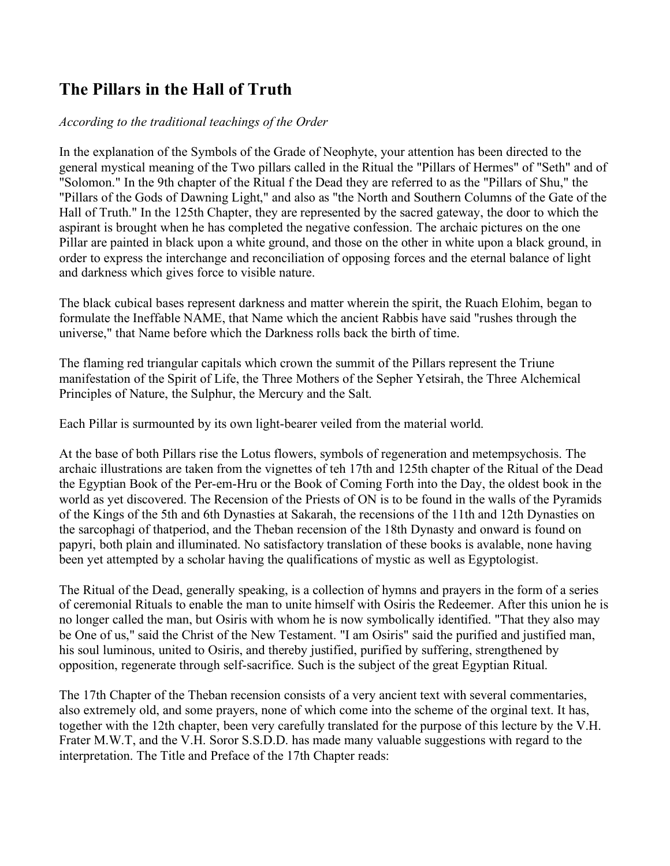## **The Pillars in the Hall of Truth**

## *According to the traditional teachings of the Order*

In the explanation of the Symbols of the Grade of Neophyte, your attention has been directed to the general mystical meaning of the Two pillars called in the Ritual the "Pillars of Hermes" of "Seth" and of "Solomon." In the 9th chapter of the Ritual f the Dead they are referred to as the "Pillars of Shu," the "Pillars of the Gods of Dawning Light," and also as "the North and Southern Columns of the Gate of the Hall of Truth." In the 125th Chapter, they are represented by the sacred gateway, the door to which the aspirant is brought when he has completed the negative confession. The archaic pictures on the one Pillar are painted in black upon a white ground, and those on the other in white upon a black ground, in order to express the interchange and reconciliation of opposing forces and the eternal balance of light and darkness which gives force to visible nature.

The black cubical bases represent darkness and matter wherein the spirit, the Ruach Elohim, began to formulate the Ineffable NAME, that Name which the ancient Rabbis have said "rushes through the universe," that Name before which the Darkness rolls back the birth of time.

The flaming red triangular capitals which crown the summit of the Pillars represent the Triune manifestation of the Spirit of Life, the Three Mothers of the Sepher Yetsirah, the Three Alchemical Principles of Nature, the Sulphur, the Mercury and the Salt.

Each Pillar is surmounted by its own light-bearer veiled from the material world.

At the base of both Pillars rise the Lotus flowers, symbols of regeneration and metempsychosis. The archaic illustrations are taken from the vignettes of teh 17th and 125th chapter of the Ritual of the Dead the Egyptian Book of the Per-em-Hru or the Book of Coming Forth into the Day, the oldest book in the world as yet discovered. The Recension of the Priests of ON is to be found in the walls of the Pyramids of the Kings of the 5th and 6th Dynasties at Sakarah, the recensions of the 11th and 12th Dynasties on the sarcophagi of thatperiod, and the Theban recension of the 18th Dynasty and onward is found on papyri, both plain and illuminated. No satisfactory translation of these books is avalable, none having been yet attempted by a scholar having the qualifications of mystic as well as Egyptologist.

The Ritual of the Dead, generally speaking, is a collection of hymns and prayers in the form of a series of ceremonial Rituals to enable the man to unite himself with Osiris the Redeemer. After this union he is no longer called the man, but Osiris with whom he is now symbolically identified. "That they also may be One of us," said the Christ of the New Testament. "I am Osiris" said the purified and justified man, his soul luminous, united to Osiris, and thereby justified, purified by suffering, strengthened by opposition, regenerate through self-sacrifice. Such is the subject of the great Egyptian Ritual.

The 17th Chapter of the Theban recension consists of a very ancient text with several commentaries, also extremely old, and some prayers, none of which come into the scheme of the orginal text. It has, together with the 12th chapter, been very carefully translated for the purpose of this lecture by the V.H. Frater M.W.T, and the V.H. Soror S.S.D.D. has made many valuable suggestions with regard to the interpretation. The Title and Preface of the 17th Chapter reads: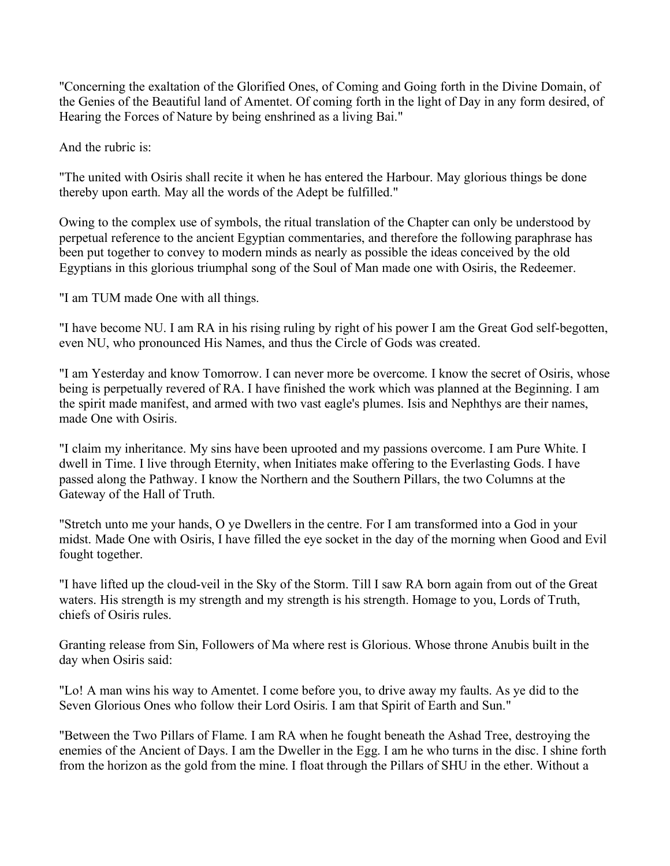"Concerning the exaltation of the Glorified Ones, of Coming and Going forth in the Divine Domain, of the Genies of the Beautiful land of Amentet. Of coming forth in the light of Day in any form desired, of Hearing the Forces of Nature by being enshrined as a living Bai."

And the rubric is:

"The united with Osiris shall recite it when he has entered the Harbour. May glorious things be done thereby upon earth. May all the words of the Adept be fulfilled."

Owing to the complex use of symbols, the ritual translation of the Chapter can only be understood by perpetual reference to the ancient Egyptian commentaries, and therefore the following paraphrase has been put together to convey to modern minds as nearly as possible the ideas conceived by the old Egyptians in this glorious triumphal song of the Soul of Man made one with Osiris, the Redeemer.

"I am TUM made One with all things.

"I have become NU. I am RA in his rising ruling by right of his power I am the Great God self-begotten, even NU, who pronounced His Names, and thus the Circle of Gods was created.

"I am Yesterday and know Tomorrow. I can never more be overcome. I know the secret of Osiris, whose being is perpetually revered of RA. I have finished the work which was planned at the Beginning. I am the spirit made manifest, and armed with two vast eagle's plumes. Isis and Nephthys are their names, made One with Osiris.

"I claim my inheritance. My sins have been uprooted and my passions overcome. I am Pure White. I dwell in Time. I live through Eternity, when Initiates make offering to the Everlasting Gods. I have passed along the Pathway. I know the Northern and the Southern Pillars, the two Columns at the Gateway of the Hall of Truth.

"Stretch unto me your hands, O ye Dwellers in the centre. For I am transformed into a God in your midst. Made One with Osiris, I have filled the eye socket in the day of the morning when Good and Evil fought together.

"I have lifted up the cloud-veil in the Sky of the Storm. Till I saw RA born again from out of the Great waters. His strength is my strength and my strength is his strength. Homage to you, Lords of Truth, chiefs of Osiris rules.

Granting release from Sin, Followers of Ma where rest is Glorious. Whose throne Anubis built in the day when Osiris said:

"Lo! A man wins his way to Amentet. I come before you, to drive away my faults. As ye did to the Seven Glorious Ones who follow their Lord Osiris. I am that Spirit of Earth and Sun."

"Between the Two Pillars of Flame. I am RA when he fought beneath the Ashad Tree, destroying the enemies of the Ancient of Days. I am the Dweller in the Egg. I am he who turns in the disc. I shine forth from the horizon as the gold from the mine. I float through the Pillars of SHU in the ether. Without a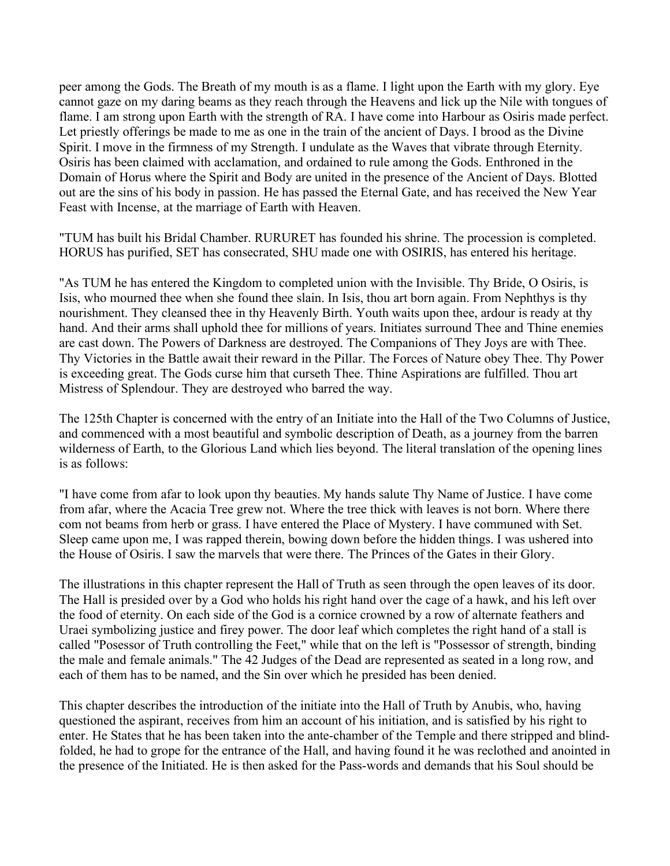peer among the Gods. The Breath of my mouth is as a flame. I light upon the Earth with my glory. Eye cannot gaze on my daring beams as they reach through the Heavens and lick up the Nile with tongues of flame. I am strong upon Earth with the strength of RA. I have come into Harbour as Osiris made perfect. Let priestly offerings be made to me as one in the train of the ancient of Days. I brood as the Divine Spirit. I move in the firmness of my Strength. I undulate as the Waves that vibrate through Eternity. Osiris has been claimed with acclamation, and ordained to rule among the Gods. Enthroned in the Domain of Horus where the Spirit and Body are united in the presence of the Ancient of Days. Blotted out are the sins of his body in passion. He has passed the Eternal Gate, and has received the New Year Feast with Incense, at the marriage of Earth with Heaven.

"TUM has built his Bridal Chamber. RURURET has founded his shrine. The procession is completed. HORUS has purified, SET has consecrated, SHU made one with OSIRIS, has entered his heritage.

"As TUM he has entered the Kingdom to completed union with the Invisible. Thy Bride, O Osiris, is Isis, who mourned thee when she found thee slain. In Isis, thou art born again. From Nephthys is thy nourishment. They cleansed thee in thy Heavenly Birth. Youth waits upon thee, ardour is ready at thy hand. And their arms shall uphold thee for millions of years. Initiates surround Thee and Thine enemies are cast down. The Powers of Darkness are destroyed. The Companions of They Joys are with Thee. Thy Victories in the Battle await their reward in the Pillar. The Forces of Nature obey Thee. Thy Power is exceeding great. The Gods curse him that curseth Thee. Thine Aspirations are fulfilled. Thou art Mistress of Splendour. They are destroyed who barred the way.

The 125th Chapter is concerned with the entry of an Initiate into the Hall of the Two Columns of Justice, and commenced with a most beautiful and symbolic description of Death, as a journey from the barren wilderness of Earth, to the Glorious Land which lies beyond. The literal translation of the opening lines is as follows:

"I have come from afar to look upon thy beauties. My hands salute Thy Name of Justice. I have come from afar, where the Acacia Tree grew not. Where the tree thick with leaves is not born. Where there com not beams from herb or grass. I have entered the Place of Mystery. I have communed with Set. Sleep came upon me, I was rapped therein, bowing down before the hidden things. I was ushered into the House of Osiris. I saw the marvels that were there. The Princes of the Gates in their Glory.

The illustrations in this chapter represent the Hall of Truth as seen through the open leaves of its door. The Hall is presided over by a God who holds his right hand over the cage of a hawk, and his left over the food of eternity. On each side of the God is a cornice crowned by a row of alternate feathers and Uraei symbolizing justice and firey power. The door leaf which completes the right hand of a stall is called "Posessor of Truth controlling the Feet," while that on the left is "Possessor of strength, binding the male and female animals." The 42 Judges of the Dead are represented as seated in a long row, and each of them has to be named, and the Sin over which he presided has been denied.

This chapter describes the introduction of the initiate into the Hall of Truth by Anubis, who, having questioned the aspirant, receives from him an account of his initiation, and is satisfied by his right to enter. He States that he has been taken into the ante-chamber of the Temple and there stripped and blindfolded, he had to grope for the entrance of the Hall, and having found it he was reclothed and anointed in the presence of the Initiated. He is then asked for the Pass-words and demands that his Soul should be